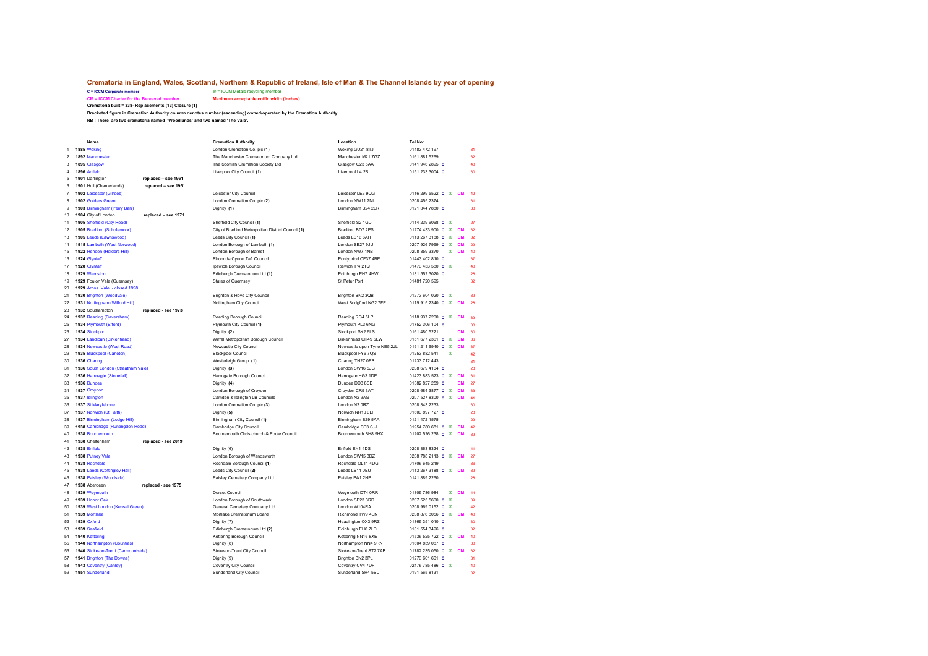## **Crematoria in England, Wales, Scotland, Northern & Republic of Ireland, Isle of Man & The Channel Islands by year of opening**<br>  $c = \text{ICM Network}$  Metals recycling member

**C** = ICCM Metals recycling member<br>**Maximum acceptable coffin width (inches) CM = ICCM Charter for the Bereaved member** 

**Crematoria built = 338- Replacements (13) Closure (1)**

**Bracketed figure in Cremation Authority column denotes number (ascending) owned/operated by the Cremation Authority**

**NB : There are two crematoria named 'Woodlands' and two named 'The Vale'.**

|                | Name                               |                     | <b>Cremation Authority</b>                         | Location                    | Tel No:                                    |                 |
|----------------|------------------------------------|---------------------|----------------------------------------------------|-----------------------------|--------------------------------------------|-----------------|
|                | 1885 Woking                        |                     | London Cremation Co. plc (1)                       | Woking GU21 8TJ             | 01483 472 197                              | 31              |
| $\overline{2}$ | 1892 Manchester                    |                     | The Manchester Crematorium Company Ltd             | Manchester M21 7GZ          | 0161 881 5269                              | 32              |
| 3              | 1895 Glasgow                       |                     | The Scottish Cremation Society Ltd                 | Glasgow G23 5AA             | 0141 946 2895 C                            | 40              |
| 4              | 1896 Anfield                       |                     | Liverpool City Council (1)                         | Liverpool L4 2SL            | 0151 233 3004 C                            | 30              |
| 5              | 1901 Darlington                    | replaced - see 1961 |                                                    |                             |                                            |                 |
| 6              | 1901 Hull (Chanterlands)           | replaced - see 1961 |                                                    |                             |                                            |                 |
| $\overline{7}$ | 1902 Leicester (Gilroes)           |                     | Leicester City Council                             | Leicester LE3 9QG           | 0116 299 5522 C ®<br><b>CM</b>             | 42              |
| 8              | 1902 Golders Green                 |                     | London Cremation Co. plc (2)                       | London NW11 7NL             | 0208 455 2374                              | 31              |
| 9              | 1903 Birmingham (Perry Barr)       |                     | Dignity (1)                                        | Birmingham B24 2LR          | 0121 344 7880 C                            | 30              |
| 10             | 1904 City of London                | replaced - see 1971 |                                                    |                             |                                            |                 |
| 11             | 1905 Sheffield (City Road)         |                     | Sheffield City Council (1)                         | Sheffield S2 1GD            | 0114 239 6068 C ®                          | $\overline{27}$ |
| 12             | 1905 Bradford (Scholemoor)         |                     | City of Bradford Metropolitan District Council (1) | Bradford BD7 2PS            | 01274 433 900 C<br>⋒<br>CM                 | 32              |
| 13             | 1905 Leeds (Lawnswood)             |                     | Leeds City Council (1)                             | Leeds LS16 6AH              | 0113 267 3188 C<br>⊛<br><b>CM</b>          | 32              |
| 14             | 1915 Lambeth (West Norwood)        |                     | London Borough of Lambeth (1)                      | London SE27 9JU             | 0207 926 7999 C<br>⊛<br><b>CM</b>          | 29              |
| 15             | 1922 Hendon (Holders Hill)         |                     | London Borough of Barnet                           | London NW7 1NB              | 0208 359 3370<br>$^{\circ}$<br><b>CM</b>   | 40              |
| 16             | 1924 Glyntaff                      |                     | Rhonnda Cynon Taf Council                          | Pontypridd CF37 4BE         | 01443 402 810 C                            | 37              |
| 17             | 1928 Glyntaff                      |                     | Ipswich Borough Council                            | Ipswich IP4 2TQ             | 01473 433 580 C ®                          | 40              |
| 18             | 1929 Warriston                     |                     | Edinburgh Crematorium Ltd (1)                      | Edinburgh EH7 4HW           | 0131 552 3020 C                            | 28              |
| 19             | 1929 Foulon Vale (Guernsey)        |                     | <b>States of Guernsey</b>                          | St Peter Port               | 01481 720 595                              | 32              |
| 20             | 1929 Arnos Vale - closed 1998      |                     |                                                    |                             |                                            |                 |
| 21             | 1930 Brighton (Woodvale)           |                     | Brighton & Hove City Council                       | Brighton BN2 3QB            | 01273 604 020 C ®                          | 39              |
| 22             | 1931 Nottingham (Wilford Hill)     |                     | Nottingham City Council                            | West Bridgford NG2 7FE      | 0115 915 2340 c <sup>®</sup><br><b>CM</b>  | 28              |
| 23             | 1932 Southampton                   | replaced - see 1973 |                                                    |                             |                                            |                 |
| 24             | 1932 Reading (Caversham)           |                     | Reading Borough Council                            | Reading RG4 5LP             | 0118 937 2200 C ®<br><b>CM</b>             | 39              |
| 25             | 1934 Plymouth (Efford)             |                     | Plymouth City Council (1)                          | Plymouth PL3 6NG            | 01752 306 104 c                            | 20              |
| 26             | 1934 Stockport                     |                     | Dignity (2)                                        | Stockport SK2 6LS           | 0161 480 5221<br><b>CM</b>                 | 30              |
| 27             | 1934 Landican (Birkenhead)         |                     | Wirral Metropolitan Borough Council                | Birkenhead CH49 5LW         | 0151 677 2361 C ®<br><b>CM</b>             | 36              |
| 28             | 1934 Newcastle (West Road)         |                     | Newcastle City Council                             | Newcastle upon Tyne NE5 2JL | 0191 211 6940 C ®<br><b>CM</b>             | 37              |
| 29             | 1935 Blackpool (Carleton)          |                     | <b>Blackpool Council</b>                           | Blackpool FY6 7QS           | 01253 882 541<br>⋒                         | 42              |
| 30             | 1936 Charing                       |                     | Westerleigh Group (1)                              | Charing TN27 0EB            | 01233 712 443                              | 31              |
| 31             | 1936 South London (Streatham Vale) |                     | Dignity (3)                                        | London SW16 5JG             | 0208 679 4164 C                            | 28              |
| 32             | 1936 Harroagte (Stonefall)         |                     | Harrogate Borough Council                          | Harrogate HG3 1DE           | 01423 883 523 C<br>⊛<br><b>CM</b>          | 31              |
| 33             | 1936 Dundee                        |                     | Dignity (4)                                        | Dundee DD3 8SD              | 01382 827 259 C<br><b>CM</b>               | $\overline{27}$ |
| 34             | 1937 Croydon                       |                     | London Borough of Croydon                          | Croydon CR9 3AT             | 0208 684 3877 C ®<br><b>CM</b>             | 33              |
| 35             | 1937 Islington                     |                     | Camden & Islington LB Councils                     | London N2 9AG               | 0207 527 8300 C ®<br><b>CM</b>             | 41              |
| 36             | 1937 St Marylebone                 |                     | London Cremation Co. plc (3)                       | London N2 0RZ               | 0208 343 2233                              | 30              |
| 37             | 1937 Norwich (St Faith)            |                     | Dignity (5)                                        | Norwich NR10 3LF            | 01603 897 727 C                            | 28              |
| 38             | 1937 Birmingham (Lodge Hill)       |                     | Birmingham City Council (1)                        | Birmingham B29 5AA          | 0121 472 1575                              | 29              |
| 39             | 1938 Cambridge (Huntingdon Road)   |                     | Cambridge City Council                             | Cambridge CB3 0JJ           | 01954 780 681 C ®<br><b>CM</b>             | 42              |
| 40             | 1938 Bournemouth                   |                     | Bournemouth Christchurch & Poole Council           | Bournemouth BH8 9HX         | 01202 526 238 C ®<br><b>CM</b>             | 39              |
| 41             | 1938 Cheltenham                    | replaced - see 2019 |                                                    |                             |                                            |                 |
| 42             | 1938 Enfield                       |                     | Dignity (6)                                        | Enfield EN1 4DS             | 0208 363 8324 C                            | 41              |
| 43             | 1938 Putney Vale                   |                     | London Borough of Wandsworth                       | London SW15 3DZ             | 0208 788 2113 C ®<br>CM                    | $\overline{2}$  |
| 44             | 1938 Rochdale                      |                     | Rochdale Borough Council (1)                       | Rochdale OL11 4DG           | 01706 645 219                              | 36              |
| 45             | 1938 Leeds (Cottingley Hall)       |                     | Leeds City Council (2)                             | Leeds LS11 0EU              | 0113 267 3188 C ®<br>CM                    | 39              |
| 46             | 1938 Paisley (Woodside)            |                     | Paisley Cemetery Company Ltd                       | Paisley PA1 2NP             | 0141 889 2260                              | 28              |
| 47             | 1938 Aberdeen                      | replaced - see 1975 |                                                    |                             |                                            |                 |
| 48             | 1939 Weymouth                      |                     | Dorset Council                                     | Weymouth DT4 0RR            | 01305 786 984<br>®                         | 44              |
| 49             | 1939 Honor Oak                     |                     | London Borough of Southwark                        | London SE23 3RD             | 0207 525 5600 C<br>画                       | 39              |
| 50             | 1939 West London (Kensal Green)    |                     | General Cemetery Company Ltd                       | London W104RA               | 0208 969 0152 C<br>⋒                       | 42              |
| 51             | 1939 Mortlake                      |                     | Mortlake Crematorium Board                         | Richmond TW9 4EN            | 0208 876 8056 c ®<br><b>CM</b>             | 40              |
| 52             | 1939 Oxford                        |                     | Dignity (7)                                        | Headington OX3 9RZ          | 01865 351 010 C                            | 30              |
| 53             | 1939 Seafield                      |                     | Edinburgh Crematorium Ltd (2)                      | Edinburgh EH6 7LD           | 0131 554 3496 C                            | 32              |
| 54             | 1940 Kettering                     |                     | Kettering Borough Council                          | Kettering NN16 8XE          | 01536 525 722 C<br>$^{\circ}$<br><b>CM</b> | 40              |
| 55             | 1940 Northampton (Counties)        |                     | Dignity (8)                                        | Northampton NN4 9RN         | 01604 859 087 C                            | 30              |
| 56             | 1940 Stoke-on-Trent (Carmountside) |                     | Stoke-on-Trent City Council                        | Stoke-on-Trent ST2 7AB      | 01782 235 050 C ®<br><b>CM</b>             | 32              |
| 57             | 1941 Brighton (The Downs)          |                     | Dignity (9)                                        | Brighton BN2 3PL            | 01273 601 601 C                            | 31              |
| 58             | 1943 Coventry (Canley)             |                     | Coventry City Council                              | Coventry CV4 7DF            | 02476 785 486 C ®                          | 40              |
| 59             | 1951 Sunderland                    |                     | Sunderland City Council                            | Sunderland SR4 5SU          | 0191 565 8131                              | 32              |
|                |                                    |                     |                                                    |                             |                                            |                 |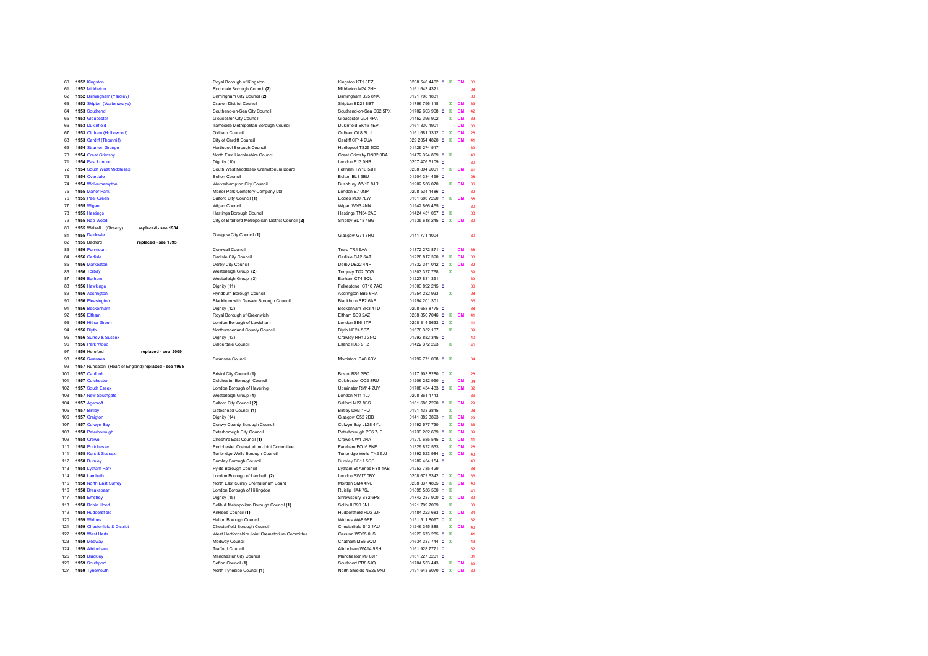| 60         |                   | 1952 Kingston                                        | Royal Borough of Kingston                          | Kingston KT1 3EZ                            | 0208 546 4462 C ®                       |            | <b>CM</b> | 30                       |
|------------|-------------------|------------------------------------------------------|----------------------------------------------------|---------------------------------------------|-----------------------------------------|------------|-----------|--------------------------|
| 61         |                   | 1952 Middleton                                       | Rochdale Borough Council (2)                       | Middleton M24 2NH                           | 0161 643 4321                           |            |           | 28                       |
| 62         |                   | 1952 Birmingham (Yardley)                            | Birmingham City Council (2)                        | Birmingham B25 8NA                          | 0121 708 1831                           |            |           | 30                       |
| 63         |                   | 1952 Skipton (Waltonwrays)                           | <b>Craven District Council</b>                     | Skipton BD23 8BT                            | 01756 796 118                           | ◉          | <b>CM</b> | 33                       |
| 64         |                   | 1953 Southend                                        | Southend-on-Sea City Council                       | Southend-on-Sea SS2 5PX                     | 01702 603 908 C ®                       |            | <b>CM</b> | 42                       |
| 65         |                   | 1953 Gloucester                                      | Gloucester City Council                            | Gloucester GL4 4PA                          | 01452 396 902                           | ⋒          | <b>CM</b> | 33                       |
| 66         |                   | 1953 Dukinfield                                      | Tameside Metropolitan Borough Council              | Dukinfield SK16 4EP                         | 0161 330 1901                           |            | <b>CM</b> | 30                       |
| 67         |                   | 1953 Oldham (Hollinwood)                             | Oldham Council                                     | Oldham OL8 3LU                              | 0161 681 1312 C ®                       |            | <b>CM</b> | 28                       |
| 68         |                   | 1953 Cardiff (Thornhill)                             | City of Cardiff Council                            | Cardiff CF14 9UA                            | 029 2054 4820 C ® CM                    |            |           | 41                       |
| 69         |                   | 1954 Stranton Grange                                 | Hartlepool Borough Council                         | Hartlepool TS25 5DD                         | 01429 274 517                           |            |           | 39                       |
| 70         |                   | 1954 Great Grimsby                                   | North East Lincolnshire Council                    | Great Grimsby DN32 0BA                      | 01472 324 869 C ®                       |            |           | 40                       |
| 71         |                   | 1954 East London                                     | Dignity (10)                                       | London E13 0HB                              | 0207 476 5109 C                         |            |           | 30                       |
| 72         |                   | 1954 South West Middlesex                            | South West Middlesex Crematorium Board             | Feltham TW13 5.IH                           | 0208 894 9001 C ® CM                    |            |           | 41                       |
| 73         |                   | 1954 Overdale                                        | <b>Bolton Council</b>                              | Bolton BL1 5BU                              | 01204 334 499 C                         |            |           | 28                       |
| 74         |                   | 1954 Wolverhampton                                   | Wolverhampton City Council                         | Bushbury WV10 8JR                           | 01902 556 070                           |            | ® CM      | 36                       |
| 75         |                   | 1955 Manor Park                                      | Manor Park Cemetery Company Ltd                    | London E7 ONP                               | 0208 534 1486 C                         |            |           | 30                       |
| 76         |                   | 1955 Peel Green                                      | Salford City Council (1)                           | Eccles M30 7LW                              | 0161 686 7290 C ® CM                    |            |           |                          |
| 77         | 1955 Wigan        |                                                      | Wigan Council                                      | Wigan WN3 4NN                               | 01942 866 455 C                         |            |           | 30                       |
| 78         |                   | 1955 Hastings                                        | Hastings Borough Council                           | Hastings TN34 2AE                           | 01424 451 057 c ®                       |            |           | 38                       |
| 79         |                   | 1955 Nab Wood                                        | City of Bradford Metropolitan District Council (2) | Shipley BD18 4BG                            | 01535 618 245 C ® CM                    |            |           | 32                       |
| 80         |                   | replaced - see 1984                                  |                                                    |                                             |                                         |            |           |                          |
|            |                   | 1955 Walsall (Streetly)                              | Glasgow City Council (1)                           |                                             |                                         |            |           |                          |
| 81         |                   | 1955 Daldowie                                        |                                                    | Glasgow G71 7RU                             | 0141 771 1004                           |            |           | 30                       |
| 82         | 1955 Bedford      | replaced - see 1995                                  |                                                    |                                             |                                         |            |           |                          |
| 83         |                   | 1956 Penmount                                        | Cornwall Council                                   | Truro TR4 9AA                               | 01872 272 871 C                         |            | <b>CM</b> | 38                       |
| 84         | 1956 Carlisle     |                                                      | Carlisle City Council                              | Carlisle CA2 6AT                            | 01228 817 390 C ®                       |            | <b>CM</b> | 38                       |
| 85         |                   | 1956 Markeaton                                       | Derby City Council                                 | Derby DE22 4NH                              | 01332 341 012 C ®                       |            | <b>CM</b> | 32                       |
| 86         | 1956 Torbay       |                                                      | Westerleigh Group (2)                              | Torquay TQ2 7QG                             | 01803 327 768                           | $^{\circ}$ |           | 39                       |
| 87         | 1956 Barham       |                                                      | Westerleigh Group (3)                              | Barham CT4 6QU                              | 01227 831 351                           |            |           | 39                       |
| 88         |                   | 1956 Hawkinge                                        | Dignity (11)                                       | Folkestone CT16 7AG                         | 01303 892 215 C                         |            |           | $\overline{\mathcal{X}}$ |
| 89         |                   | 1956 Accrington                                      | Hyndburn Borough Council                           | Accrington BB5 6HA                          | 01254 232 933                           | $^{\circ}$ |           | 28                       |
| 90         |                   | 1956 Pleasington                                     | Blackburn with Darwen Borough Council              | Blackburn BB2 6AF                           | 01254 201 301                           |            |           | 35                       |
| 91         |                   | 1956 Beckenham                                       | Dignity (12)                                       | Beckenham BR3 4TD                           | 0208 658 8775 C                         |            |           | 38                       |
| 92         | 1956 Eltham       |                                                      | Royal Borough of Greenwich                         | Eltham SE9 2AZ                              | 0208 850 7046 C ®                       |            | <b>CM</b> | 41                       |
| 93         |                   | 1956 Hither Green                                    | London Borough of Lewisham                         | London SE6 1TP                              | 0208 314 9633 C ®                       |            |           | 41                       |
|            |                   |                                                      |                                                    |                                             |                                         |            |           |                          |
| 94         | <b>1956 Blyth</b> |                                                      | Northumberland County Council                      | Blyth NE24 5SZ                              | 01670 352 107                           | ⊛          |           | 39                       |
| 95         |                   | 1956 Surrey & Sussex                                 | Dignity (13)                                       | Crawley RH10 3NQ                            | 01293 882 345 C                         |            |           | 40                       |
| 96         |                   | 1956 Park Wood                                       | Calderdale Council                                 | Elland HX5 9HZ                              | 01422 372 293                           | ®          |           | 40                       |
| 97         |                   | 1956 Hereford<br>replaced - see 2009                 |                                                    |                                             |                                         |            |           |                          |
| 98         |                   | 1956 Swansea                                         | Swansea Council                                    | Morriston, SA6 6RY                          | 01792 771 008 C ®                       |            |           | 34                       |
| 99         |                   | 1957 Nuneaton (Heart of England) replaced - see 1995 |                                                    |                                             |                                         |            |           |                          |
| 100        | 1957 Canford      |                                                      | <b>Bristol City Council (1)</b>                    | Bristol BS9 3PQ                             | 0117 903 8280 C ®                       |            |           | 28                       |
| 101        |                   | 1957 Colchester                                      | Colchester Borough Council                         | Colchester CO2 8RU                          | 01206 282 950 C                         |            | <b>CM</b> | 34                       |
| 102        |                   | 1957 South Essex                                     | London Borough of Havering                         | Upminster RM14 2UY                          | 01708 434 433 C ® CM                    |            |           | 32                       |
| 103        |                   | 1957 New Southgate                                   | Westerleigh Group (4)                              | London N11 1.I.I                            | 0208 361 1713                           |            |           | 36                       |
| 104        |                   | 1957 Agecroft                                        |                                                    | Salford M27 8SS                             | 0161 686 7290 C ® CM                    |            |           | $\infty$                 |
| 105        | 1957 Birtley      |                                                      | Salford City Council (2)<br>Gateshead Council (1)  | Birtley DH3 1PQ                             | 0191 433 3815                           | $^{\circ}$ |           | os                       |
|            |                   | 1957 Craigton                                        | Dignity (14)                                       | Glasgow G52 2DB                             | 0141 882 3893 C ® CM                    |            |           | $\infty$                 |
| 106<br>107 |                   | 1957 Colwyn Bay                                      | Conwy County Borough Council                       | Colwyn Bay LL28 4YL                         | 01492 577 730                           | $^{\circ}$ | <b>CM</b> |                          |
| 108        |                   | 1958 Peterborough                                    |                                                    | Peterborough PE6 7JE                        | 01733 262 639 C ®                       |            | <b>CM</b> | 39                       |
|            |                   |                                                      | Peterborough City Council                          | Crewe CW1 2NA                               |                                         |            |           | 41                       |
| 109<br>110 | 1958 Crewe        |                                                      | Cheshire East Council (1)                          |                                             | 01270 685 545 C ® CM                    |            |           |                          |
| 111        |                   | 1958 Portchester<br>1958 Kent & Sussex               | Portchester Crematorium Joint Committee            | Fareham PO16 8NE                            | 01329 822 533                           |            | ® CM      | 28                       |
|            |                   |                                                      | Tunbridge Wells Borough Council                    | Tunbridge Wells TN2 5JJ                     | 01892 523 984 c <sup>@</sup> CM         |            |           | 43                       |
| 112        | 1958 Burnley      |                                                      | <b>Burnley Borough Council</b>                     | Burnley BB11 5QD                            | 01282 454 154 C                         |            |           | 40                       |
| 113        |                   | 1958 Lytham Park                                     | Fylde Borough Council                              | Lytham St Annes FY8 4AB                     | 01253 735 429                           |            |           | 38                       |
| 114        |                   | 1958 Lambeth                                         | London Borough of Lambeth (2)                      | London SW17 0BY                             | 0208 672 6342 c ® CM                    |            |           | 36                       |
| 115        |                   | 1958 North East Surrey                               | North East Surrey Crematorium Board                | Morden SM4 4NU                              | 0208 337 4835 C ®                       |            | <b>CM</b> | 40                       |
| 116        |                   | 1958 Breakspear                                      | London Borough of Hillingdon                       | Ruislip HA4 7SJ                             | 01895 556 560 C ®                       |            |           | ΔĊ                       |
| 117        | 1958 Emstrey      |                                                      | Dignity (15)                                       | Shrewsbury SY2 6PS                          | 01743 237 900 C ® CM                    |            |           | 32                       |
| 118        |                   | 1958 Robin Hood                                      | Solihull Metropolitan Borough Council (1)          | Solihull B90 3NL                            | 0121 709 7009                           | $^{\circ}$ |           | 33                       |
| 119        |                   | 1958 Huddersfield                                    | Kirklees Council (1)                               | Huddersfield HD2 2JF                        | 01484 223 683 C ® CM                    |            |           | 34                       |
| 120        | 1959 Widnes       |                                                      | Halton Borough Council                             | Widnes WA8 9EE                              | 0151 511 8097 c ®                       |            |           | 32                       |
| 121        |                   | 1959 Chesterfield & District                         | Chesterfield Borough Council                       | Chesterfield S43 1AU                        | 01246 345 888                           |            | ® CM      | 40                       |
| 122        |                   | 1959 West Herts                                      | West Hertfordshire Joint Crematorium Committee     | Garston WD25 0JS                            | 01923 673 285 C ®                       |            |           | 41                       |
| 123        |                   | 1959 Medway                                          | Medway Council                                     | Chatham ME5 9QU                             | 01634 337 744 C ®                       |            |           | 43                       |
| 124        |                   | 1959 Altrincham                                      | <b>Trafford Council</b>                            | Altrincham WA14 5RH                         | 0161 928 7771 C                         |            |           | 32                       |
| 125        |                   | 1959 Blackley                                        | Manchester City Council                            | Manchester M9 8.IP                          | 0161 227 3201 C                         |            |           | 31                       |
| 126<br>127 |                   | 1959 Southport<br>1959 Tynemouth                     | Sefton Council (1)<br>North Tyneside Council (1)   | Southport PR8 5JQ<br>North Shields NE29 9NJ | 01704 533 443 8 CM<br>0191 643 6070 C ® |            | <b>CM</b> | 39<br>32                 |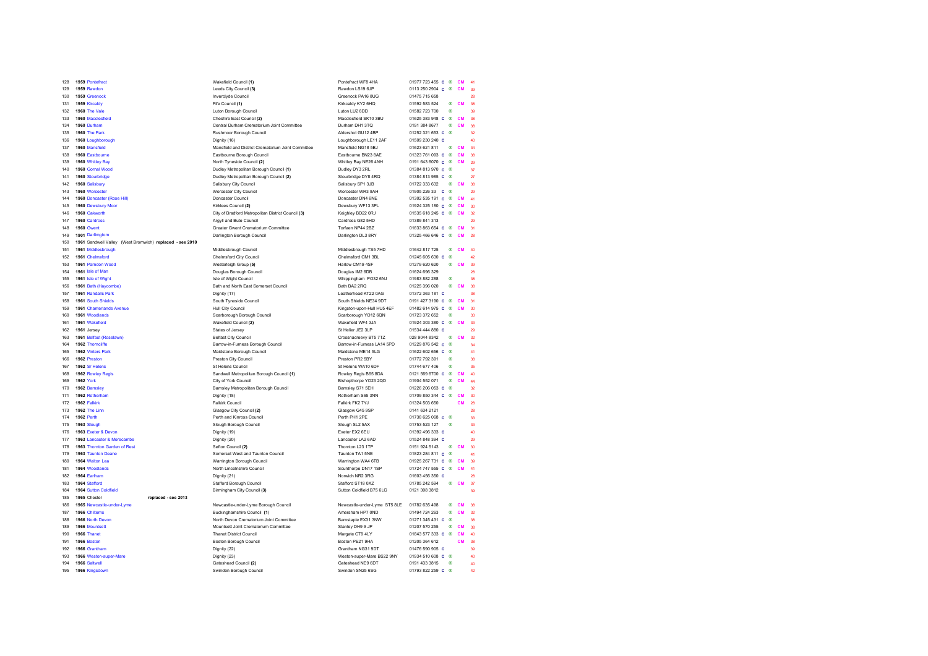| 128        |                  | 1959 Pontefract                                          | Wakefield Council (1)                              | Pontefract WF8 4HA                    | 01977 723 455 C ®                  |            | <b>CM</b> |                          |
|------------|------------------|----------------------------------------------------------|----------------------------------------------------|---------------------------------------|------------------------------------|------------|-----------|--------------------------|
| 129        |                  | 1959 Rawdon                                              | Leeds City Council (3)                             | Rawdon LS19 6JP                       | 0113 250 2904 C ®                  |            | CM        |                          |
| 130        |                  | 1959 Greenock                                            | Inverclyde Council                                 | Greenock PA16 8UG                     | 01475 715 658                      |            |           |                          |
| 131        |                  | 1959 Kircaldy                                            | Fife Council (1)                                   | Kirkcaldy KY2 6HQ                     | 01592 583 524                      | ⊛          | <b>CM</b> |                          |
| 132        |                  | 1960 The Vale                                            | Luton Borough Council                              | Luton LU2 8DD                         | 01582 723 700                      | $^{\circ}$ |           | 39                       |
|            |                  |                                                          |                                                    |                                       |                                    |            |           |                          |
| 133        |                  | 1960 Macclesfield                                        | Cheshire East Council (2)                          | Macclesfield SK10 3BU                 | 01625 383 948 C ®                  |            | <b>CM</b> | 38                       |
| 134        |                  | 1960 Durham                                              | Central Durham Crematorium Joint Committee         | Durham DH1 3TQ                        | 0191 384 8677                      | ⊛          | <b>CM</b> | 38                       |
| 135        |                  | 1960 The Park                                            | Rushmoor Borough Council                           | Aldershot GU12 4BP                    | 01252 321 653 C ®                  |            |           | 32                       |
| 136        |                  | 1960 Loughborough                                        | Dignity (16)                                       | Loughborough LE11 2AF                 | 01509 230 240 C                    |            |           |                          |
| 137        |                  | 1960 Mansfield                                           | Mansfield and District Crematorium Joint Committee | Mansfield NG18 5BJ                    | 01623 621 811                      | ®          | <b>CM</b> | 34                       |
| 138        |                  | 1960 Eastbourne                                          | Eastbourne Borough Council                         | Eastbourne BN23 8AE                   | 01323 761 093 C ®                  |            | <b>CM</b> | 38                       |
| 139        |                  | 1960 Whitley Bay                                         | North Tyneside Council (2)                         | Whitley Bay NE26 4NH                  | 0191 643 6070 C ®                  |            | <b>CM</b> | $\infty$                 |
| 140        |                  | 1960 Gornal Wood                                         | Dudley Metropolitan Borough Council (1)            | Dudley DY3 2RL                        | 01384 813 970 C ®                  |            |           | 37                       |
| 141        |                  | 1960 Stourbridge                                         | Dudley Metropolitan Borough Council (2)            | Stourbridge DY8 4RQ                   | 01384 813 985 C ®                  |            |           | 27                       |
| 142        |                  | 1960 Salisbury                                           | Salisbury City Council                             | Salisbury SP1 3JB                     | 01722 333 632                      | ®          | <b>CM</b> | 38                       |
| 143        |                  | 1960 Worcester                                           | Worcester City Council                             | Worcester WR3 8AH                     | 01905 226 33 c ®                   |            |           | 29                       |
| 144        |                  | 1960 Doncaster (Rose Hill)                               | Doncaster Council                                  | Doncaster DN4 6NE                     | 01302 535 191 C ®                  |            | <b>CM</b> | 41                       |
|            |                  | 1960 Dewsbury Moor                                       | Kirklees Council (2)                               | Dewsbury WF13 3PL                     | 01924 325 180 C ®                  |            | CM        | ăń,                      |
| 145        |                  |                                                          |                                                    |                                       |                                    |            | <b>CM</b> |                          |
| 146        |                  | 1960 Oakworth                                            | City of Bradford Metropolitan District Council (3) | Keighley BD22 0RJ                     | 01535 618 245 C ®                  |            |           | 32                       |
| 147        |                  | 1960 Cardross                                            | Argyll and Bute Council                            | Cardross G82 5HD                      | 01389 841 313                      |            |           | $\infty$                 |
| 148        |                  | 1960 Gwent                                               | Greater Gwent Crematorium Committee                | Torfaen NP44 2BZ                      | 01633 863 654 C ®                  |            | CM        | 31                       |
| 149        |                  | 1901 Darlimgtom                                          | Darlington Borough Council                         | Darlington DL3 8RY                    | 01325466646 C ®                    |            | CM        | 28                       |
| 150        |                  | 1961 Sandwell Valley (West Bromwich) replaced - see 2010 |                                                    |                                       |                                    |            |           |                          |
| 151        |                  | 1961 Middlesbrough                                       | Middlesbrough Council                              | Middlesbrough TS5 7HD                 | 01642 817 725                      | ⊛          | <b>CM</b> | 40                       |
| 152        |                  | 1961 Chelmsford                                          | Chelmsford City Council                            | Chelmsford CM1 3BL                    | 01245 605 630 c ®                  |            |           | 42                       |
| 153        |                  | 1961 Parndon Wood                                        | Westerleigh Group (5)                              | Harlow CM19 4SF                       | 01279 620 620                      | ⊛          | <b>CM</b> | 39                       |
| 154        |                  | 1961 Isle of Man                                         | Douglas Borough Council                            | Douglas IM2 6DB                       | 01624 696 329                      |            |           | 28                       |
| 155        |                  | 1961 Isle of Wight                                       | Isle of Wight Council                              | Whippingham PO32 6NJ                  | 01983 882 288                      | ⊛          |           |                          |
| 156        |                  | 1961 Bath (Haycombe)                                     | Bath and North East Somerset Council               | Bath BA2 2RQ                          | 01225 396 020                      | ⊛          | <b>CM</b> |                          |
| 157        |                  | 1961 Randalls Park                                       | Dignity (17)                                       | Leatherhead KT22 0AG                  | 01372 363 181 C                    |            |           | 38                       |
| 158        |                  | 1961 South Shields                                       | South Tyneside Council                             | South Shields NE34 9DT                | 0191 427 3190 C                    | ⊛          | <b>CM</b> | 31                       |
| 159        |                  | 1961 Chanterlands Avenue                                 | <b>Hull City Council</b>                           | Kingston-upon-Hull HU5 4EF            | 01482 614 975 C ®                  |            | <b>CM</b> | $\overline{\mathbf{30}}$ |
|            |                  | 1961 Woodlands                                           |                                                    |                                       | 01723 372 652                      | ®          |           | 33                       |
| 160        |                  |                                                          | Scarborough Borough Council                        | Scarborough YO12 6QN                  |                                    |            |           |                          |
| 161        |                  | 1961 Wakefield                                           | Wakefield Council (2)                              | Wakefield WF4 3JA                     | 01924 303 380 C ®                  |            | CM        | 33                       |
| 162        |                  | 1961 Jersey                                              | States of Jersey                                   | St Helier JE2 3LP                     | 01534 444 880 C                    |            |           | $\infty$                 |
| 163        |                  | 1961 Belfast (Roselawn)                                  | <b>Belfast City Council</b>                        | Crossnacreevy BT5 7TZ                 | 028 9044 8342                      | $^{\circ}$ | <b>CM</b> | 32                       |
| 164        |                  | 1962 Thorncliffe                                         | Barrow-in-Furness Borough Council                  | Barrow-in-Furness LA14 5PD            | 01229 876 542 c ®                  |            |           | ä.                       |
| 165        |                  | 1962 Vinters Park                                        | Maidstone Borough Council                          | Maidstone MF14 5LG                    | 01622 602 656 C ®                  |            |           | 41                       |
| 166        |                  | 1962 Preston                                             | Preston City Council                               | Preston PR2 5BY                       | 01772 792 391                      | $^{\circ}$ |           | 38                       |
| 167        |                  | 1962 Sr Helens                                           | St Helens Council                                  | St Helens WA10 6DF                    | 01744 677 406                      | $^{\circ}$ |           | 35                       |
| 168        |                  | 1962 Rowley Regis                                        | Sandwell Metropolitan Borough Council (1)          | Rowley Regis B65 8DA                  | 0121 569 6700 C ®                  |            | <b>CM</b> | 40                       |
| 169        | <b>1962 York</b> |                                                          | City of York Council                               | Bishopthorpe YO23 2QD                 | 01904 552 071                      | ®          | CM        | 44                       |
| 170        |                  | 1962 Barnsley                                            | Barnsley Metropolitan Borough Council              | Barnsley S71 5EH                      | 01226 206 053 c ®                  |            |           | 32                       |
| 171        |                  | 1962 Rotherham                                           | Dignity (18)                                       | Rotherham S65 3NN                     | $01709850344 \text{ C} \text{ R}$  |            | <b>CM</b> | $\overline{\mathcal{X}}$ |
| 172        |                  | 1962 Falkirk                                             | <b>Falkirk Council</b>                             | Falkirk FK2 7YJ                       | 01324 503 650                      |            | CM        | 28                       |
| 173        |                  | 1962 The Linn                                            | Glasgow City Council (2)                           | Glasgow G45 9SP                       | 0141 634 2121                      |            |           | 28                       |
| 174        | 1962 Perth       |                                                          | Perth and Kinross Council                          | Perth PH1 2PE                         | 01738 625 068 C ®                  |            |           | 33                       |
| 175        |                  | 1963 Slough                                              | Slough Borough Council                             | Slough SL2 5AX                        | 01753 523 127                      | ®          |           | 33                       |
|            |                  | 1963 Exeter & Devon                                      |                                                    | Exeter EX2 6EU                        | 01392 496 333 C                    |            |           | 40                       |
| 176<br>177 |                  | 1963 Lancaster & Morecambe                               | Dignity (19)                                       | Lancaster LA2 6AD                     | 01524 848 394 C                    |            |           | 29                       |
|            |                  |                                                          | Dignity (20)                                       |                                       |                                    |            |           |                          |
| 178        |                  | 1963 Thornton Garden of Rest                             | Sefton Council (2)                                 | Thornton L23 1TP                      | 0151 924 5143                      | ⊛          | CM        | 30                       |
| 179        |                  | 1963 Taunton Deane                                       | Somerset West and Taunton Council                  | Taunton TA1 5NE                       | 01823 284 811 C ®                  |            |           | 41                       |
| 180        |                  | 1964 Walton Lea                                          | Warrington Borough Council                         | Warrington WA4 6TB                    | 01925 267 731 C ®                  |            | <b>CM</b> | 39                       |
| 181        |                  | 1964 Woodlands                                           | North Lincolnshire Council                         | Scunthorpe DN17 1SP                   | 01724 747 555 C ®                  |            | CM        | 41                       |
| 182        |                  | 1964 Farlham                                             | Dignity (21)                                       | Norwich NR2 3RG                       | 01603 456 350 C                    |            |           | 28                       |
| 183        |                  | 1964 Stafford                                            | <b>Stafford Borough Council</b>                    | Stafford ST18 0XZ                     | 01785 242 594                      | $^{\circ}$ | CM        | 37                       |
| 184        |                  | 1964 Sutton Coldfield                                    | Birmingham City Council (3)                        | Sutton Coldfield B75 6LG              | 0121 308 3812                      |            |           | 39                       |
| 185        |                  | 1965 Chester<br>replaced - see 2013                      |                                                    |                                       |                                    |            |           |                          |
| 186        |                  | 1965 Newcastle-under-Lyme                                | Newcastle-under-Lyme Borough Council               | Newcastle-under-Lyme ST5 8LE          | 01782 635 498                      | ®          | <b>CM</b> |                          |
| 187        |                  | 1966 Chilterns                                           | Buckinghamshire Council (1)                        | Amersham HP7 0ND                      | 01494 724 263                      | ®          | CM        | 32                       |
| 188        |                  |                                                          |                                                    | Barnstaple EX31 3NW                   | 01271 345 431 C ®                  |            |           | 38                       |
|            |                  |                                                          |                                                    |                                       |                                    |            |           |                          |
|            |                  | 1966 North Devon                                         | North Devon Crematorium Joint Committee            |                                       |                                    |            |           |                          |
| 189        |                  | 1966 Mountsett                                           | Mountsett Joint Crematorium Committee              | Stanley DH9 9 JP                      | 01207 570 255                      | ®          | <b>CM</b> | 38                       |
| 190        |                  | 1966 Thanet                                              | <b>Thanet District Council</b>                     | Margate CT9 4LY                       | 01843 577 333 C ®                  |            | <b>CM</b> | 40                       |
| 191        |                  | 1966 Boston                                              | Boston Borough Council                             | Boston PE21 9HA                       | 01205 364 612                      |            | CM        | 38                       |
| 192        |                  | 1966 Grantham                                            | Dignity (22)                                       | Grantham NG31 9DT                     | 01476 590 905 C                    |            |           | 39                       |
| 193        |                  | 1966 Weston-super-Mare                                   | Dignity (23)                                       | Weston-super-Mare BS22 9NY            | $01934510608$ C ®                  |            |           | 40                       |
| 194<br>195 |                  | 1966 Saltwell<br>1966 Kingsdown                          | Gateshead Council (2)<br>Swindon Borough Council   | Gateshead NE9 6DT<br>Swindon SN25 6SG | 0191 433 3815<br>01793 822 259 C ® | $^{\circ}$ |           | 40<br>42                 |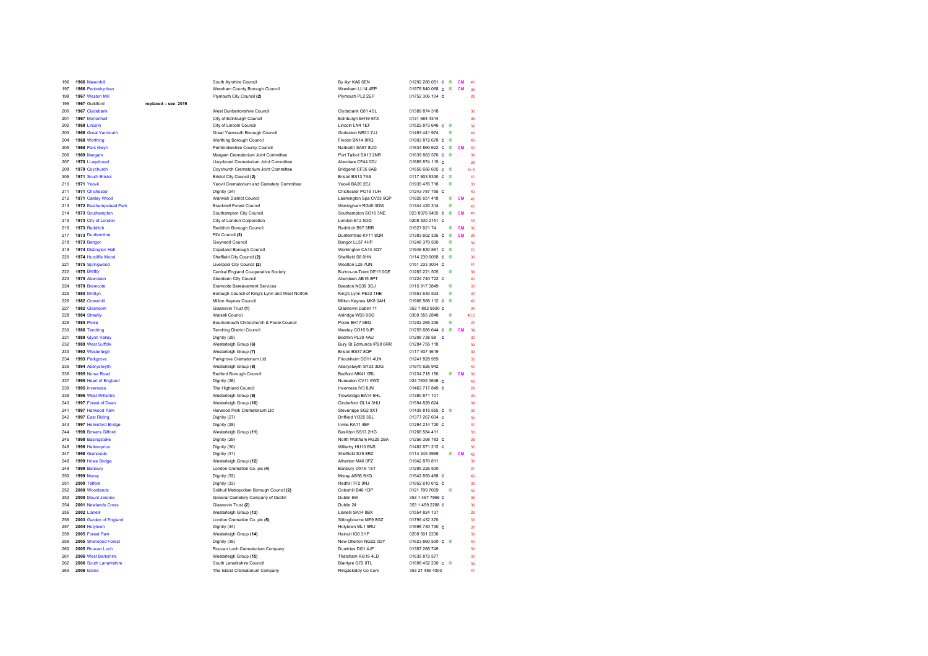| 196 | 1966 Masonhill          |                     | South Ayrshire Council                          | By Ayr KA6 6EN           | 01292 266 051 <b>c</b> <sup>®</sup> |            | <b>CM</b> | 41              |
|-----|-------------------------|---------------------|-------------------------------------------------|--------------------------|-------------------------------------|------------|-----------|-----------------|
| 197 | 1966 Pentrebychan       |                     | Wrexham County Borough Council                  | Wrexham LL14 4EP         | 01978 840 068 C ®                   |            | <b>CM</b> | 35              |
| 198 | 1967 Weston Mill        |                     | Plymouth City Council (2)                       | Plymouth PL2 2EP         | 01752 306 104 C                     |            |           | 28              |
| 199 | 1967 Guildford          | replaced - see 2019 |                                                 |                          |                                     |            |           |                 |
| 200 | 1967 Clydebank          |                     | West Dunbartonshire Council                     | Clydebank G81 4SL        | 01389 874 318                       |            |           | 30              |
| 201 | 1967 Mortonhall         |                     | City of Edinburgh Council                       | Edinburgh EH16 6TX       | 0131 664 4314                       |            |           | 36              |
| 202 | 1968 Lincoln            |                     | City of Lincoln Council                         | Lincoln LN4 1EF          | 01522873646 $c$ ®                   |            |           | 32              |
| 203 | 1968 Great Yarmouth     |                     | Great Yarmouth Borough Council                  | Gorleston NR31 7JJ       | 01493 441 974                       | $^{\circ}$ |           | 44              |
| 204 | 1968 Worthing           |                     | Worthing Borough Council                        | Findon BN14 0RO          | 01903872678 C ®                     |            |           | 40              |
| 205 | 1968 Parc Gwyn          |                     | Pembrokeshire County Council                    | Narberth SA67 8UD        | 01834 860 622 C ®                   |            | <b>CM</b> | 40              |
| 206 | 1969 Margam             |                     | Margam Crematorium Joint Committee              | Port Talbot SA13 2NR     | 01639 883 570 C ®                   |            |           | 36              |
| 207 | 1970 LLwydcoed          |                     | Llwydcoed Crematorium Joint Committee           | Aberdare CF44 0DJ        | 01685 874 115 C                     |            |           | 28              |
| 208 | 1970 Coychurch          |                     | Coychurch Crematorium Joint Committee           | Bridgend CF35 6AB        | 01656 656 605 C                     | $^{\circ}$ |           | 31.5            |
| 209 | 1971 South Bristol      |                     | Bristol City Council (2)                        | Bristol BS13 7AS         | 0117 903 8330 C ®                   |            |           | 41              |
| 210 | 1971 Yeovil             |                     | Yeovil Crematorium and Cemetery Committee       | Yeovil BA20 2EJ          | 01935 476 718                       | ®          |           | 33              |
| 211 | 1971 Chichester         |                     | Dignity (24)                                    | Chichester PO19 7UH      | 01243 787 755 C                     |            |           | 40              |
| 212 | 1971 Oakley Wood        |                     | <b>Warwick District Council</b>                 | Leamington Spa CV33 9QP  | 01926 651 418                       | $^{\circ}$ | <b>CM</b> | 40              |
| 213 | 1972 Easthampstead Park |                     | <b>Bracknell Forest Council</b>                 | Wokingham RG40 3DW       | 01344 420 314                       | $^{\circ}$ |           | 41              |
| 214 | 1973 Southampton        |                     | Southampton City Council                        | Southampton SO16 3NE     | 023 8076 6405 C ®                   |            | <b>CM</b> | 41              |
| 215 | 1973 City of London     |                     | City of London Corporation                      | London E12 5DQ           | 0208 530 2151 C                     |            |           | 43              |
| 216 | 1973 Redditch           |                     | Redditch Borough Council                        | Redditch B97 6RR         | 01527 621 74                        | ®.         | <b>CM</b> | 30 <sup>°</sup> |
| 217 | 1973 Dunfermline        |                     | Fife Council (2)                                | Dunfermline KY11 8QR     | 01383 602 335 C ®                   |            | <b>CM</b> | 29              |
| 218 | 1973 Bangor             |                     | <b>Gwynedd Council</b>                          | Bangor LL57 4HP          | 01248 370 500                       | $^{\circ}$ |           | 30              |
| 219 | 1974 Distington Hall    |                     | Copeland Borough Council                        | Workington CA14 4QY      | 01946 830 561 C ®                   |            |           | 41              |
| 220 | 1974 Hutcliffe Wood     |                     | Sheffield City Council (2)                      | Sheffield S8 0HN         | 0114 239 6068 c ®                   |            |           | 36              |
| 221 | 1975 Springwood         |                     | Liverpool City Council (2)                      | Woolton L25 7UN          | 0151 233 3004 C                     |            |           | 41              |
| 222 | 1975 Bretby             |                     | Central England Co-operative Society            | Burton-on-Trent DE15 0QE | 01283 221 505                       | 画          |           | 36              |
| 223 | 1975 Aberdeen           |                     | Aberdeen City Council                           | Aberdeen AB15 8PT        | 01224 740 722 C                     |            |           | 40              |
| 224 | 1979 Bramcote           |                     | <b>Bramcote Bereavement Services</b>            | Beeston NG39 3GJ         | 0115 917 3849                       | ⊛          |           | 33              |
| 225 | 1980 Mintlyn            |                     | Borough Council of King's Lynn and West Norfolk | King's Lynn PE32 1HB     | 01553 630 533                       | ⊛          |           | 37              |
| 226 | 1982 Crownhill          |                     | Milton Keynes Council                           | Milton Keynes MK8 0AH    | 01908 568 112 C ®                   |            |           | 40              |
| 227 | 1982 Glasnevin          |                     | Glasnevin Trust (1)                             | Glasnevin Dublin 11      | 353 1 882 6500 C                    |            |           | 34              |
| 228 | 1984 Streetly           |                     | <b>Walsall Council</b>                          | Aldridge WS9 0SG         | 0300 555 2848                       | $^{\circ}$ |           | 40.5            |
| 229 | <b>1985 Poole</b>       |                     | Bournemouth Christchurch & Poole Council        | Poole BH17 9BQ           | 01202 265 235                       | $^{\circ}$ |           | 27              |
| 230 | 1986 Tendring           |                     | <b>Tendring District Council</b>                | Weeley CO16 9JP          | 01255 686 644 C ®                   |            | <b>CM</b> | 39              |
| 231 | 1989 Glynn Valley       |                     | Dignity (25)                                    | Bodmin PL30 4AU          | 01208 738 58 C                      |            |           | 30 <sup>°</sup> |
| 232 | 1989 West Suffolk       |                     | Westerleigh Group (6)                           | Bury St Edmunds IP28 6RR | 01284 755 118                       |            |           | 39              |
| 233 | 1992 Westerleigh        |                     | Westerleigh Group (7)                           | Bristol BS37 8OP         | 0117 937 4619                       |            |           | 39              |
| 234 | 1993 Parkgrove          |                     | Parkgrove Crematorium Ltd                       | Friockheim DD11 4UN      | 01241 828 959                       |            |           | 33              |
| 235 | 1994 Aberystwyth        |                     | Westerleigh Group (8)                           | Aberystwyth SY23 3DG     | 01970 626 942                       |            |           | 40              |
| 236 | 1995 Norse Road         |                     | Bedford Borough Council                         | Bedford MK41 ORL         | 01234 718 150                       | ® CM       |           | 30              |
| 237 | 1995 Heart of England   |                     | Dignity (26)                                    | Nuneaton CV11 6WZ        | 024 7635 0646 C                     |            |           | 40              |
| 238 | 1995 Inverness          |                     | The Highland Council                            | Inverness IV3 8JN        | 01463 717 849 C                     |            |           | 29              |
| 239 | 1996 West Wiltshire     |                     | Westerleigh Group (9)                           | Trowbridge BA14 6HL      | 01380 871 101                       |            |           | 33              |
| 240 | 1997 Forest of Dean     |                     | Westerleigh Group (10)                          | Cinderford GL14 3HU      | 01594 826 624                       |            |           | 39              |
| 241 | 1997 Harwood Park       |                     | Harwood Park Crematorium Ltd                    | Stevenage SG2 8XT        | 01438 815 555 c ®                   |            |           | 32              |
| 242 | 1997 East Riding        |                     | Dignity (27)                                    | Driffield YO25 3BL       | 01377 267 604 C                     |            |           | 30              |
| 243 | 1997 Holmsford Bridge   |                     | Dignity (28)                                    | Irvine KA11 4EF          | 01294 214 720 C                     |            |           | 31              |
| 244 | 1998 Bowers Gifford     |                     | Westerleigh Group (11)                          | Basildon SS13 2HG        | 01268 584 411                       |            |           | 33              |
| 245 | 1998 Basingstoke        |                     | Dignity (29)                                    | North Waltham RG25 2BA   | 01256 398 783 C                     |            |           | 28              |
| 246 | 1998 Haltemprice        |                     | Dignity (30)                                    | Willerby HU10 6NS        | 01482 671 212 C                     |            |           | 30 <sup>°</sup> |
| 247 | 1998 Grenoside          |                     | Dignity (31)                                    | Sheffield S35 8RZ        | 0114 245 3999                       | ® CM       |           | 42              |
| 248 | 1999 Howe Bridge        |                     | Westerleigh Group (12)                          | Atherton M46 OPZ         | 01942 870 811                       |            |           | 30 <sup>°</sup> |
| 249 | 1999 Banbury            |                     | London Cremation Co. plc (4)                    | Banbury OX16 1ST         | 01295 226 500                       |            |           | 31              |
| 250 | 1999 Moray              |                     | Dignity (32)                                    | Moray AB56 5HQ           | 01542 850 488 C                     |            |           | 40              |
| 251 | 2000 Telford            |                     | Dignity (33)                                    | Redhill TF2 9NJ          | 01952 610 612 C                     |            |           | 32              |
| 252 | 2000 Woodlands          |                     | Solihull Metropolitan Borough Council (2)       | Coleshill B46 1DP        | 0121 709 7009                       | ⋒          |           | 32              |
| 253 | 2000 Mount Jerome       |                     | General Cemetery Company of Dublin              | Dublin 6W                | 353 1 497 7956 C                    |            |           | 36              |
| 254 | 2001 Newlands Cross     |                     | Glasnevin Trust (2)                             | Dublin 24                | 353 1 459 2288 C                    |            |           | 36              |
| 255 | 2002 Llanelli           |                     | Westerleigh Group (13)                          | Llanelli SA14 8BX        | 01554 824 137                       |            |           | 28              |
| 256 | 2003 Garden of England  |                     | London Cremation Co. plc (5)                    | Sittingbourne ME9 8GZ    | 01795 432 370                       |            |           | 33              |
| 257 | 2004 Holytown           |                     | Dignity (34)                                    | Holytown ML1 5RU         | 01698 730 730 C                     |            |           | 31              |
| 258 | 2005 Forest Park        |                     | Westerleigh Group (14)                          | Hainult IG6 3HP          | 0208 501 2236                       |            |           | 33              |
| 259 | 2005 Sherwood Forest    |                     | Dignity (35)                                    | New Ollerton NG22 0DY    | 01623 860 500 c ®                   |            |           | 40              |
| 260 | 2005 Roucan Loch        |                     | Roucan Loch Crematorium Company                 | Dumfries DG1 4JF         | 01387 266 749                       |            |           | 30              |
| 261 | 2006 West Berkshire     |                     | Westerleigh Group (15)                          | Thatcham RG19 4LD        | 01635 872 577                       |            |           | 33              |
| 262 | 2006 South Lanarkshire  |                     | South Lanarkshire Council                       | Blantyre G72 OTL         | 01698 452 230 C ®                   |            |           | 39              |
| 263 | 2006 Island             |                     | The Island Crematorium Company                  | Ringaskiddy Co Cork      | 353 21 486 4000                     |            |           | 41              |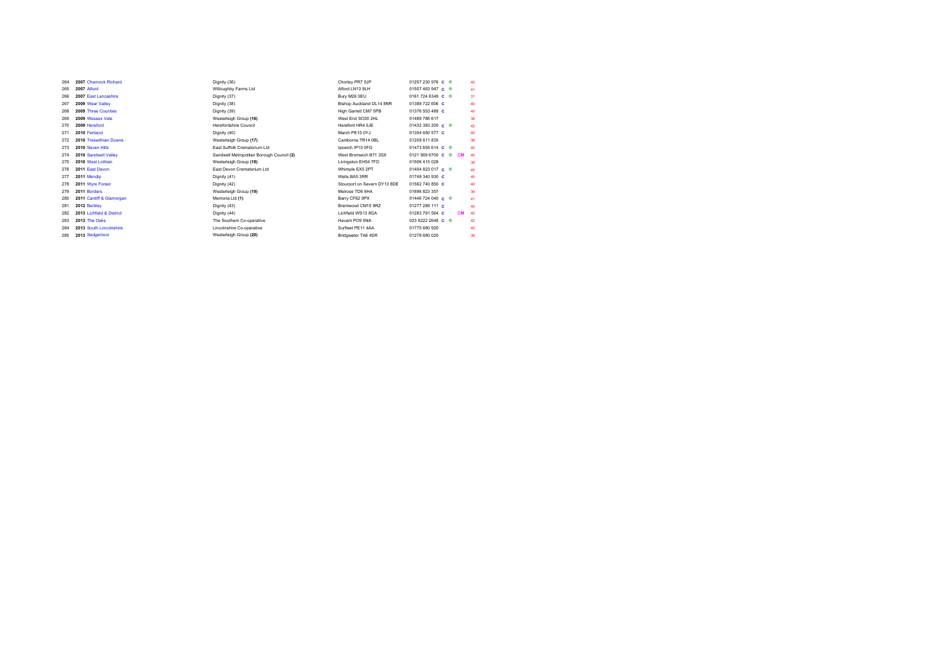| 264 | 2007 Charnock Richard     | Dignity (36)                              | Chorley PR7 5JP              | 01257 230 976 $\,$ $\,$ $\otimes$                             | 40 |
|-----|---------------------------|-------------------------------------------|------------------------------|---------------------------------------------------------------|----|
| 265 | 2007 Alford               | Willoughby Farms Ltd                      | Alford   N13 9  H            | $01507463947$ C ®                                             | 41 |
| 266 | 2007 Fast Lancashire      | Dignity (37)                              | Bury M26 0EU                 | 0161 724 6349 C ®                                             | 31 |
| 267 | 2009 Wear Valley          | Dignity (38)                              | Bishop Auckland DL14 8NR     | 01388 722 606 C                                               | 40 |
| 268 | 2009 Three Counties       | Dignity (39)                              | High Garrett CM7 5PB         | 01376 553 489 C                                               | 40 |
| 269 | 2009 Wessex Vale          | Westerleigh Group (16)                    | West Fnd SO30 2HL            | 01489 786 617                                                 | 38 |
| 270 | 2009 Hereford             | Herefordshire Council                     | Hereford HR4 0.IF            | 01432 383 200 $\,$ $\,$ $\otimes$                             | 42 |
| 271 | 2010 Fenland              | Dignity (40)                              | March PF15 0YJ               | 01354 650 577 C                                               | 40 |
| 272 | 2010 Treswithian Downs    | Westerleigh Group (17)                    | Camborne TR14 0BL            | 01209 611 835                                                 | 38 |
| 273 | 2010 Seven Hills          | <b>Fast Suffolk Crematorium Ltd.</b>      | Ipswich IP10 0FG             | $01473655614$ c ®                                             | 40 |
| 274 | 2010 Sandwell Valley      | Sandwell Metropolitan Borough Council (2) | West Bromwich B71 3SX        | $01215696700 \text{ C} \text{ } \textcircled{8}$<br><b>CM</b> | 40 |
| 275 | 2010 West Lothian         | Westerleigh Group (18)                    | Livingston EH54 7FD          | 01506 415 028                                                 | 39 |
| 276 | 2011 East Devon           | East Devon Crematorium Ltd.               | Whimple EX5 2PT              | $01404823017$ C ®                                             | 45 |
| 277 | 2011 Mendio               | Dignity (41)                              | Wells BA5 3RR                | 01749 340 930 C                                               | 40 |
| 278 | 2011 Wyre Forest          | Dignity (42)                              | Stourport on Severn DY13 8DE | 01562 740 850 C                                               | 40 |
| 279 | 2011 Borders              | Westerleigh Group (19)                    | Melrose TD6 9HA              | 01896 823 357                                                 | 39 |
| 280 | 2011 Cardiff & Glamorgan  | Memoria Ltd (1)                           | Barry CF62 9PX               | 01446 724 040 C ®                                             | 41 |
| 281 | 2012 Bentley              | Dignity (43)                              | Brentwood CM15 9RZ           | 01277 289 111 C                                               | 40 |
| 282 | 2013 Lichfield & District | Dignity (44)                              | Lichfield WS13 8GA           | 01283 791 564 C<br><b>CM</b>                                  | 40 |
| 283 | 2013 The Oaks             | The Southern Co-operative                 | Havant PO9 5NA               | $0239222648$ C ®                                              | 42 |
| 284 | 2013 South Lincolnshire   | Lincolnshire Co-operative                 | Surfleet PF11 4AA            | 01775 680 920                                                 | 40 |
| 285 | 2013 Sedgemoor            | Westerleigh Group (20)                    | Bridgwater TA6 4SR           | 01278 680 020                                                 | 39 |
|     |                           |                                           |                              |                                                               |    |